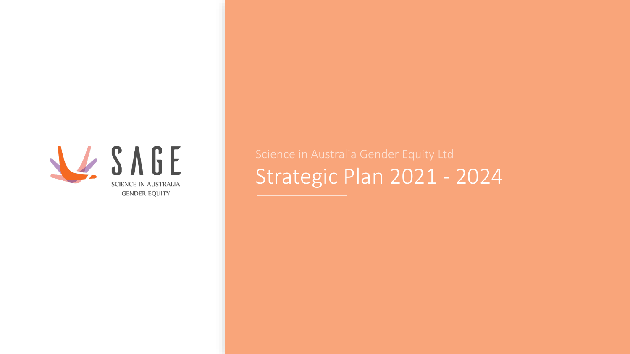

Strategic Plan 2021 - 2024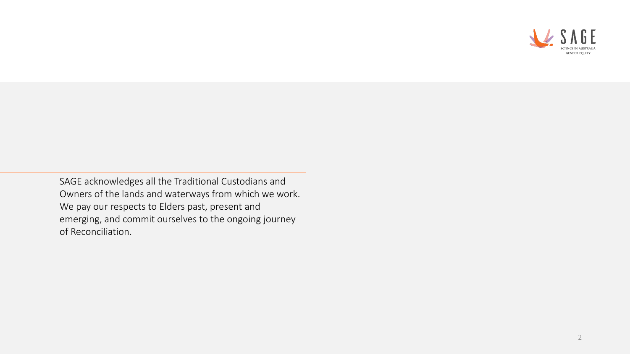

SAGE acknowledges all the Traditional Custodians and Owners of the lands and waterways from which we work. We pay our respects to Elders past, present and emerging, and commit ourselves to the ongoing journey of Reconciliation.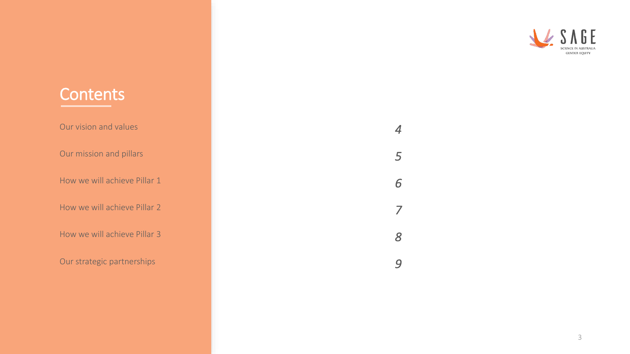#### CIENCE IN AUSTRALIA **GENDER EQUITY**

### **Contents**

Our vision and values

Our mission and pillars

How we will achieve Pillar 1

How we will achieve Pillar 2

How we will achieve Pillar 3

Our strategic partnerships

*9*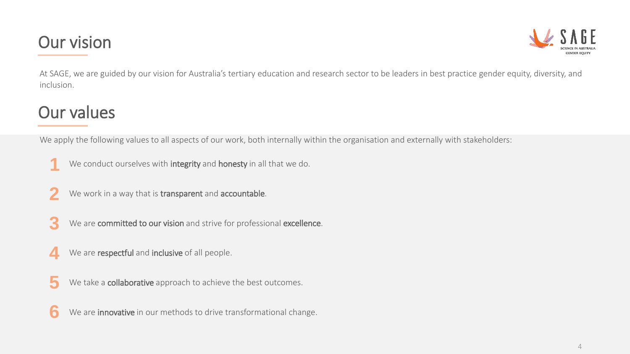## Our vision



At SAGE, we are guided by our vision for Australia's tertiary education and research sector to be leaders in best practice gender equity, diversity, and inclusion.

# Our values

We apply the following values to all aspects of our work, both internally within the organisation and externally with stakeholders:

- We conduct ourselves with integrity and honesty in all that we do. **1**
- We work in a way that is transparent and accountable. **2**
- We are committed to our vision and strive for professional excellence. **3**
- We are respectful and inclusive of all people. **4**
- We take a **collaborative** approach to achieve the best outcomes. **5**
- We are **innovative** in our methods to drive transformational change. **6**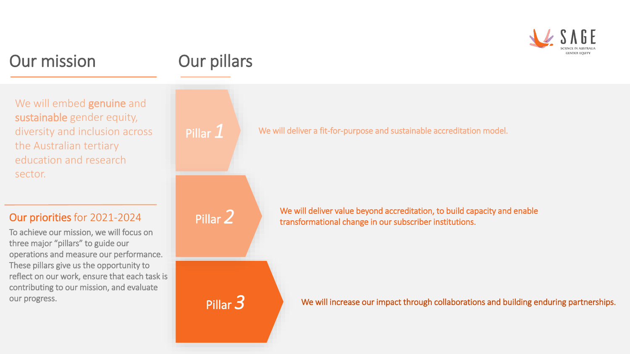

### Our mission

We will embed **genuine** and sustainable gender equity, diversity and inclusion across the Australian tertiary education and research sector.

#### Our priorities for 2021-2024

To achieve our mission, we will focus on three major "pillars" to guide our operations and measure our performance. These pillars give us the opportunity to reflect on our work, ensure that each task is contributing to our mission, and evaluate our progress.

# Our pillars

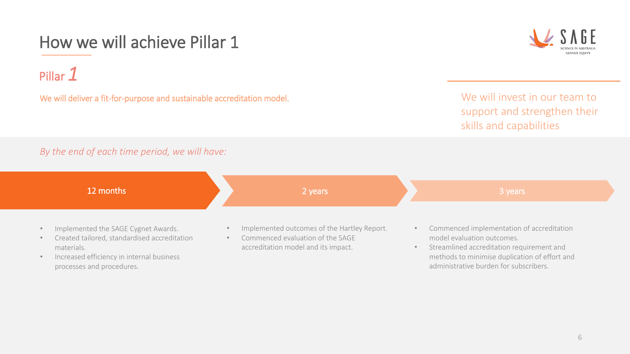# How we will achieve Pillar 1

Pillar *1*

We will deliver a fit-for-purpose and sustainable accreditation model.

We will invest in our team to support and strengthen their skills and capabilities

#### *By the end of each time period, we will have:*



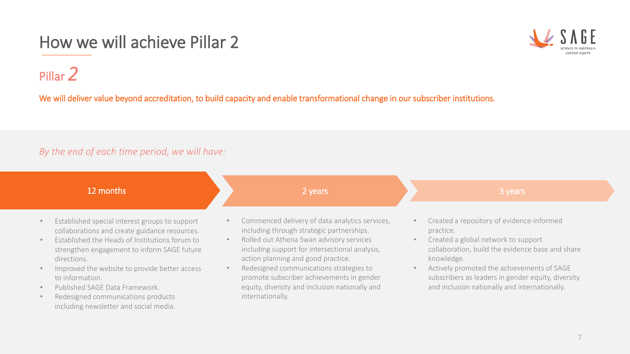# How we will achieve Pillar 2



Pillar *2*

We will deliver value beyond accreditation, to build capacity and enable transformational change in our subscriber institutions.

internationally.

#### *By the end of each time period, we will have:*



- Published SAGE Data Framework.
- Redesigned communications products including newsletter and social media.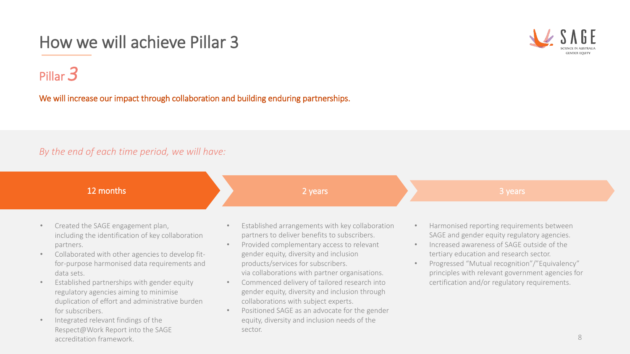# How we will achieve Pillar 3



### Pillar *3*

We will increase our impact through collaboration and building enduring partnerships.

#### *By the end of each time period, we will have:*



- Established partnerships with gender equity regulatory agencies aiming to minimise duplication of effort and administrative burden for subscribers.
- Integrated relevant findings of the Respect@Work Report into the SAGE accreditation framework.
- via collaborations with partner organisations.
- Commenced delivery of tailored research into gender equity, diversity and inclusion through collaborations with subject experts.
- Positioned SAGE as an advocate for the gender equity, diversity and inclusion needs of the sector.

8

certification and/or regulatory requirements.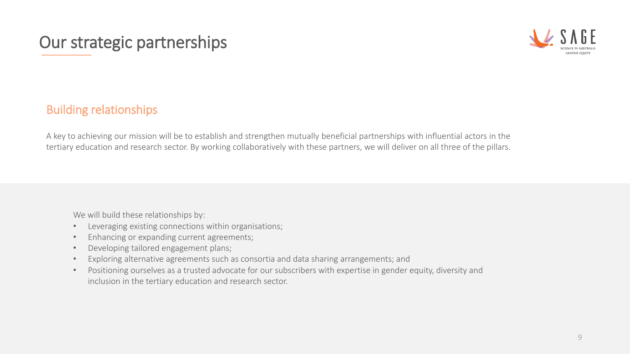# Our strategic partnerships



### Building relationships

A key to achieving our mission will be to establish and strengthen mutually beneficial partnerships with influential actors in the tertiary education and research sector. By working collaboratively with these partners, we will deliver on all three of the pillars.

We will build these relationships by:

- Leveraging existing connections within organisations;
- Enhancing or expanding current agreements;
- Developing tailored engagement plans;
- Exploring alternative agreements such as consortia and data sharing arrangements; and
- Positioning ourselves as a trusted advocate for our subscribers with expertise in gender equity, diversity and inclusion in the tertiary education and research sector.